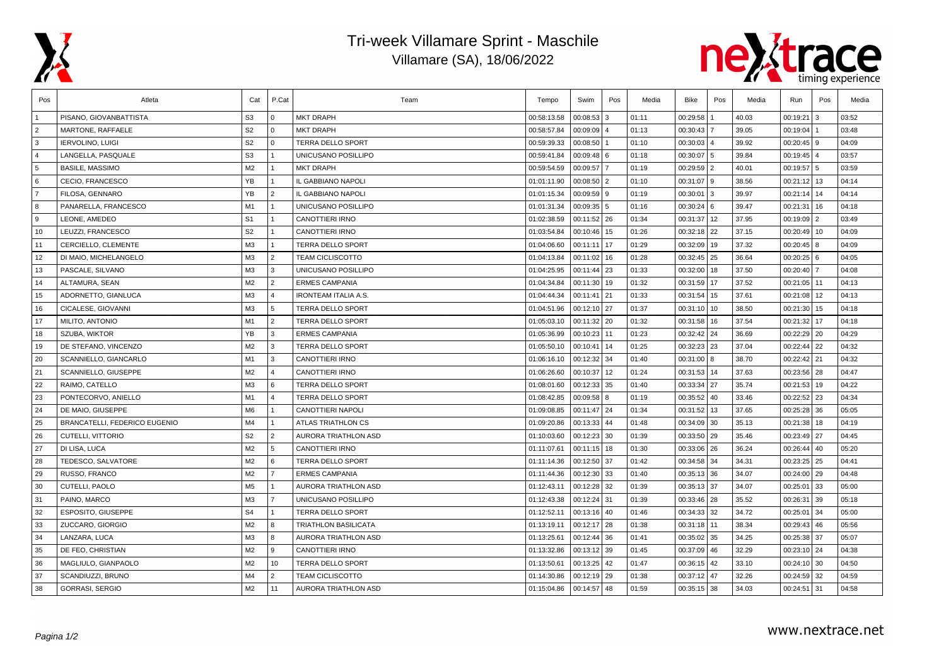

## Tri-week Villamare Sprint - Maschile Villamare (SA), 18/06/2022



| Pos            | Atleta                               | Cat            | P.Cat                | Team                        | Tempo       | Swim          | Pos  | Media | Bike          | Pos            | Media | Run           | Pos            | Media |
|----------------|--------------------------------------|----------------|----------------------|-----------------------------|-------------|---------------|------|-------|---------------|----------------|-------|---------------|----------------|-------|
|                | PISANO, GIOVANBATTISTA               | S <sub>3</sub> | $\mathbf{0}$         | <b>MKT DRAPH</b>            | 00:58:13.58 | 00:08:53      | 3    | 01:11 | 00:29:58      |                | 40.03 | 00:19:21      | 3              | 03:52 |
| $\overline{2}$ | MARTONE, RAFFAELE                    | S <sub>2</sub> | $\Omega$             | <b>MKT DRAPH</b>            | 00:58:57.84 | 00:09:09      |      | 01:13 | 00:30:43      |                | 39.05 | 00:19:04      |                | 03:48 |
| 3              | <b>IERVOLINO, LUIGI</b>              | S <sub>2</sub> | $\mathbf{0}$         | <b>TERRA DELLO SPORT</b>    | 00:59:39.33 | 00:08:50      |      | 01:10 | 00:30:03      | $\overline{4}$ | 39.92 | 00:20:45      | l 9            | 04:09 |
| $\overline{4}$ | LANGELLA, PASQUALE                   | S <sub>3</sub> | 1                    | UNICUSANO POSILLIPO         | 00:59:41.84 | $00:09:48$ 6  |      | 01:18 | 00:30:07      | ا 5            | 39.84 | 00:19:45      | $\overline{4}$ | 03:57 |
| 5              | <b>BASILE, MASSIMO</b>               | M <sub>2</sub> | 1                    | <b>MKT DRAPH</b>            | 00:59:54.59 | 00:09:57 7    |      | 01:19 | 00:29:59      | $\overline{2}$ | 40.01 | 00:19:57      | 5              | 03:59 |
| 6              | CECIO, FRANCESCO                     | YB             | $\mathbf{1}$         | IL GABBIANO NAPOLI          | 01:01:11.90 | $00:08:50$ 2  |      | 01:10 | 00:31:07      | l 9            | 38.56 | 00:21:12      | 13             | 04:14 |
| $\overline{7}$ | FILOSA, GENNARO                      | YB             | $\overline{2}$       | IL GABBIANO NAPOLI          | 01:01:15.34 | $00:09:59$ 9  |      | 01:19 | 00:30:01      | l 3            | 39.97 | 00:21:14      | 14             | 04:14 |
| 8              | PANARELLA, FRANCESCO                 | M1             | $\mathbf{1}$         | UNICUSANO POSILLIPO         | 01:01:31.34 | $00:09:35$ 5  |      | 01:16 | 00:30:24 6    |                | 39.47 | 00:21:31      | 16             | 04:18 |
| 9              | LEONE, AMEDEO                        | S <sub>1</sub> | 1                    | CANOTTIERI IRNO             | 01:02:38.59 | 00:11:52 26   |      | 01:34 | 00:31:37      | 12             | 37.95 | 00:19:09      | $\sqrt{2}$     | 03:49 |
| 10             | LEUZZI, FRANCESCO                    | S <sub>2</sub> |                      | CANOTTIERI IRNO             | 01:03:54.84 | 00:10:46 15   |      | 01:26 | 00:32:18      | 22             | 37.15 | 00:20:49      | 10             | 04:09 |
| 11             | CERCIELLO, CLEMENTE                  | M <sub>3</sub> | $\mathbf{1}$         | <b>TERRA DELLO SPORT</b>    | 01:04:06.60 | 00:11:11      | l 17 | 01:29 | 00:32:09      | 19             | 37.32 | $00:20:45$ 8  |                | 04:09 |
| 12             | DI MAIO, MICHELANGELO                | M3             | 2                    | <b>TEAM CICLISCOTTO</b>     | 01:04:13.84 | $00:11:02$ 16 |      | 01:28 | 00:32:45 25   |                | 36.64 | 00:20:25      | l 6            | 04:05 |
| 13             | PASCALE, SILVANO                     | M <sub>3</sub> | $\mathbf{3}$         | UNICUSANO POSILLIPO         | 01:04:25.95 | 00:11:44 23   |      | 01:33 | 00:32:00      | 18             | 37.50 | 00:20:40      | $\overline{7}$ | 04:08 |
| 14             | ALTAMURA, SEAN                       | M <sub>2</sub> | $\overline{2}$       | <b>ERMES CAMPANIA</b>       | 01:04:34.84 | 00:11:30 19   |      | 01:32 | 00:31:59      | 17             | 37.52 | $00:21:05$ 11 |                | 04:13 |
| 15             | ADORNETTO, GIANLUCA                  | M <sub>3</sub> | $\overline{A}$       | <b>IRONTEAM ITALIA A.S.</b> | 01:04:44.34 | 00:11:41 21   |      | 01:33 | 00:31:54      | 15             | 37.61 | 00:21:08      | 12             | 04:13 |
| 16             | CICALESE, GIOVANNI                   | M <sub>3</sub> | -5                   | <b>TERRA DELLO SPORT</b>    | 01:04:51.96 | 00:12:10 27   |      | 01:37 | 00:31:10      | 10             | 38.50 | 00:21:30      | 15             | 04:18 |
| 17             | MILITO, ANTONIO                      | M1             | 2                    | TERRA DELLO SPORT           | 01:05:03.10 | 00:11:32   20 |      | 01:32 | 00:31:58      | 16             | 37.54 | 00:21:32      | 17             | 04:18 |
| 18             | SZUBA, WIKTOR                        | YB             | 3                    | <b>ERMES CAMPANIA</b>       | 01:05:36.99 | 00:10:23 11   |      | 01:23 | 00:32:42 24   |                | 36.69 | $00:22:29$ 20 |                | 04:29 |
| 19             | DE STEFANO, VINCENZO                 | M <sub>2</sub> | 3                    | <b>TERRA DELLO SPORT</b>    | 01:05:50.10 | 00:10:41      | l 14 | 01:25 | 00:32:23      | 23             | 37.04 | 00:22:44      | 22             | 04:32 |
| 20             | SCANNIELLO, GIANCARLO                | M1             | 3                    | <b>CANOTTIERI IRNO</b>      | 01:06:16.10 | 00:12:32 34   |      | 01:40 | 00:31:00 8    |                | 38.70 | $00:22:42$ 21 |                | 04:32 |
| 21             | SCANNIELLO, GIUSEPPE                 | M <sub>2</sub> | $\overline{4}$       | <b>CANOTTIERI IRNO</b>      | 01:06:26.60 | 00:10:37 12   |      | 01:24 | $00:31:53$ 14 |                | 37.63 | $00:23:56$ 28 |                | 04:47 |
| 22             | RAIMO, CATELLO                       | M3             | 6                    | <b>TERRA DELLO SPORT</b>    | 01:08:01.60 | 00:12:33 35   |      | 01:40 | 00:33:34      | 27             | 35.74 | 00:21:53      | 19             | 04:22 |
| 23             | PONTECORVO, ANIELLO                  | M1             | $\overline{A}$       | <b>TERRA DELLO SPORT</b>    | 01:08:42.85 | $00:09:58$ 8  |      | 01:19 | 00:35:52      | 40             | 33.46 | 00:22:52      | 23             | 04:34 |
| 24             | DE MAIO, GIUSEPPE                    | M <sub>6</sub> | $\mathbf{1}$         | <b>CANOTTIERI NAPOLI</b>    | 01:09:08.85 | 00:11:47 24   |      | 01:34 | 00:31:52      | 13             | 37.65 | 00:25:28      | 36             | 05:05 |
| 25             | <b>BRANCATELLI, FEDERICO EUGENIO</b> | M4             | 1                    | ATLAS TRIATHLON CS          | 01:09:20.86 | 00:13:33 44   |      | 01:48 | 00:34:09 30   |                | 35.13 | $00:21:38$ 18 |                | 04:19 |
| 26             | CUTELLI, VITTORIO                    | S <sub>2</sub> | 2                    | AURORA TRIATHLON ASD        | 01:10:03.60 | $00:12:23$ 30 |      | 01:39 | 00:33:50 29   |                | 35.46 | $00:23:49$ 27 |                | 04:45 |
| 27             | DI LISA, LUCA                        | M <sub>2</sub> | 5                    | <b>CANOTTIERI IRNO</b>      | 01:11:07.61 | 00:11:15 18   |      | 01:30 | 00:33:06 26   |                | 36.24 | 00:26:44      | 40             | 05:20 |
| 28             | TEDESCO, SALVATORE                   | M <sub>2</sub> | 6                    | <b>TERRA DELLO SPORT</b>    | 01:11:14.36 | 00:12:50 37   |      | 01:42 | 00:34:58      | 34             | 34.31 | $00:23:25$ 25 |                | 04:41 |
| 29             | <b>RUSSO, FRANCO</b>                 | M <sub>2</sub> | $\overline{7}$       | <b>ERMES CAMPANIA</b>       | 01:11:44.36 | 00:12:30 33   |      | 01:40 | $00:35:13$ 36 |                | 34.07 | $00:24:00$ 29 |                | 04:48 |
| 30             | <b>CUTELLI, PAOLO</b>                | M <sub>5</sub> | $\blacktriangleleft$ | <b>AURORA TRIATHLON ASD</b> | 01:12:43.11 | 00:12:28 32   |      | 01:39 | 00:35:13 37   |                | 34.07 | 00:25:01      | 33             | 05:00 |
| 31             | PAINO, MARCO                         | M <sub>3</sub> | $\overline{7}$       | UNICUSANO POSILLIPO         | 01:12:43.38 | 00:12:24 31   |      | 01:39 | 00:33:46 28   |                | 35.52 | 00:26:31      | 39             | 05:18 |
| 32             | <b>ESPOSITO, GIUSEPPE</b>            | S <sub>4</sub> | $\mathbf{1}$         | <b>TERRA DELLO SPORT</b>    | 01:12:52.11 | 00:13:16 40   |      | 01:46 | 00:34:33      | 32             | 34.72 | 00:25:01      | 34             | 05:00 |
| 33             | ZUCCARO, GIORGIO                     | M <sub>2</sub> | 8                    | <b>TRIATHLON BASILICATA</b> | 01:13:19.11 | 00:12:17 28   |      | 01:38 | 00:31:18      | 11             | 38.34 | 00:29:43      | 46             | 05:56 |
| 34             | LANZARA, LUCA                        | M3             | 8                    | <b>AURORA TRIATHLON ASD</b> | 01:13:25.61 | 00:12:44 36   |      | 01:41 | 00:35:02      | 35             | 34.25 | $00:25:38$ 37 |                | 05:07 |
| 35             | DE FEO, CHRISTIAN                    | M <sub>2</sub> | 9                    | CANOTTIERI IRNO             | 01:13:32.86 | 00:13:12 39   |      | 01:45 | 00:37:09 46   |                | 32.29 | $00:23:10$ 24 |                | 04:38 |
| 36             | MAGLIULO, GIANPAOLO                  | M <sub>2</sub> | 10                   | <b>TERRA DELLO SPORT</b>    | 01:13:50.61 | 00:13:25 42   |      | 01:47 | 00:36:15      | 42             | 33.10 | $00:24:10$ 30 |                | 04:50 |
| 37             | SCANDIUZZI, BRUNO                    | M <sub>4</sub> | $\overline{2}$       | <b>TEAM CICLISCOTTO</b>     | 01:14:30.86 | 00:12:19 29   |      | 01:38 | 00:37:12      | 47             | 32.26 | 00:24:59      | 32             | 04:59 |
| 38             | <b>GORRASI, SERGIO</b>               | M <sub>2</sub> | 11                   | <b>AURORA TRIATHLON ASD</b> | 01:15:04.86 | 00:14:57 48   |      | 01:59 | $00:35:15$ 38 |                | 34.03 | 00:24:51 31   |                | 04:58 |